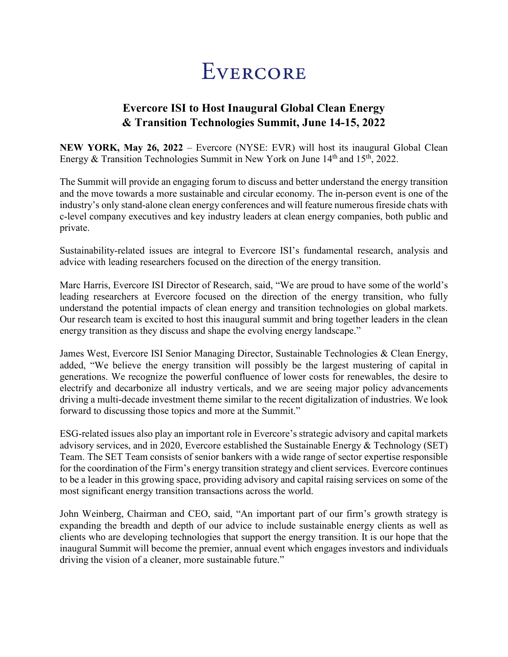## EVERCORE

## **Evercore ISI to Host Inaugural Global Clean Energy & Transition Technologies Summit, June 14-15, 2022**

**NEW YORK, May 26, 2022** – Evercore (NYSE: EVR) will host its inaugural Global Clean Energy & Transition Technologies Summit in New York on June  $14<sup>th</sup>$  and  $15<sup>th</sup>$ , 2022.

The Summit will provide an engaging forum to discuss and better understand the energy transition and the move towards a more sustainable and circular economy. The in-person event is one of the industry's only stand-alone clean energy conferences and will feature numerous fireside chats with c-level company executives and key industry leaders at clean energy companies, both public and private.

Sustainability-related issues are integral to Evercore ISI's fundamental research, analysis and advice with leading researchers focused on the direction of the energy transition.

Marc Harris, Evercore ISI Director of Research, said, "We are proud to have some of the world's leading researchers at Evercore focused on the direction of the energy transition, who fully understand the potential impacts of clean energy and transition technologies on global markets. Our research team is excited to host this inaugural summit and bring together leaders in the clean energy transition as they discuss and shape the evolving energy landscape."

James West, Evercore ISI Senior Managing Director, Sustainable Technologies & Clean Energy, added, "We believe the energy transition will possibly be the largest mustering of capital in generations. We recognize the powerful confluence of lower costs for renewables, the desire to electrify and decarbonize all industry verticals, and we are seeing major policy advancements driving a multi-decade investment theme similar to the recent digitalization of industries. We look forward to discussing those topics and more at the Summit."

ESG-related issues also play an important role in Evercore's strategic advisory and capital markets advisory services, and in 2020, Evercore established the Sustainable Energy & Technology (SET) Team. The SET Team consists of senior bankers with a wide range of sector expertise responsible for the coordination of the Firm's energy transition strategy and client services. Evercore continues to be a leader in this growing space, providing advisory and capital raising services on some of the most significant energy transition transactions across the world.

John Weinberg, Chairman and CEO, said, "An important part of our firm's growth strategy is expanding the breadth and depth of our advice to include sustainable energy clients as well as clients who are developing technologies that support the energy transition. It is our hope that the inaugural Summit will become the premier, annual event which engages investors and individuals driving the vision of a cleaner, more sustainable future."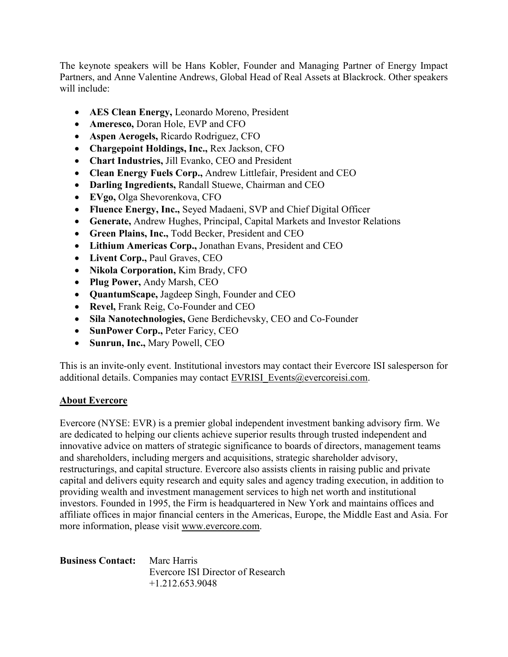The keynote speakers will be Hans Kobler, Founder and Managing Partner of Energy Impact Partners, and Anne Valentine Andrews, Global Head of Real Assets at Blackrock. Other speakers will include:

- **AES Clean Energy,** Leonardo Moreno, President
- **Ameresco,** Doran Hole, EVP and CFO
- **Aspen Aerogels,** Ricardo Rodriguez, CFO
- **Chargepoint Holdings, Inc.,** Rex Jackson, CFO
- **Chart Industries,** Jill Evanko, CEO and President
- **Clean Energy Fuels Corp.,** Andrew Littlefair, President and CEO
- **Darling Ingredients,** Randall Stuewe, Chairman and CEO
- **EVgo,** Olga Shevorenkova, CFO
- **Fluence Energy, Inc.,** Seyed Madaeni, SVP and Chief Digital Officer
- **Generate,** Andrew Hughes, Principal, Capital Markets and Investor Relations
- **Green Plains, Inc.,** Todd Becker, President and CEO
- **Lithium Americas Corp.,** Jonathan Evans, President and CEO
- **Livent Corp.,** Paul Graves, CEO
- **Nikola Corporation,** Kim Brady, CFO
- **Plug Power,** Andy Marsh, CEO
- **QuantumScape,** Jagdeep Singh, Founder and CEO
- **Revel,** Frank Reig, Co-Founder and CEO
- **Sila Nanotechnologies,** Gene Berdichevsky, CEO and Co-Founder
- **SunPower Corp.,** Peter Faricy, CEO
- **Sunrun, Inc.,** Mary Powell, CEO

This is an invite-only event. Institutional investors may contact their Evercore ISI salesperson for additional details. Companies may contact EVRISI Events@evercoreisi.com.

## **About Evercore**

Evercore (NYSE: EVR) is a premier global independent investment banking advisory firm. We are dedicated to helping our clients achieve superior results through trusted independent and innovative advice on matters of strategic significance to boards of directors, management teams and shareholders, including mergers and acquisitions, strategic shareholder advisory, restructurings, and capital structure. Evercore also assists clients in raising public and private capital and delivers equity research and equity sales and agency trading execution, in addition to providing wealth and investment management services to high net worth and institutional investors. Founded in 1995, the Firm is headquartered in New York and maintains offices and affiliate offices in major financial centers in the Americas, Europe, the Middle East and Asia. For more information, please visit [www.evercore.com.](http://www.evercore.com/)

**Business Contact:** Marc Harris Evercore ISI Director of Research +1.212.653.9048